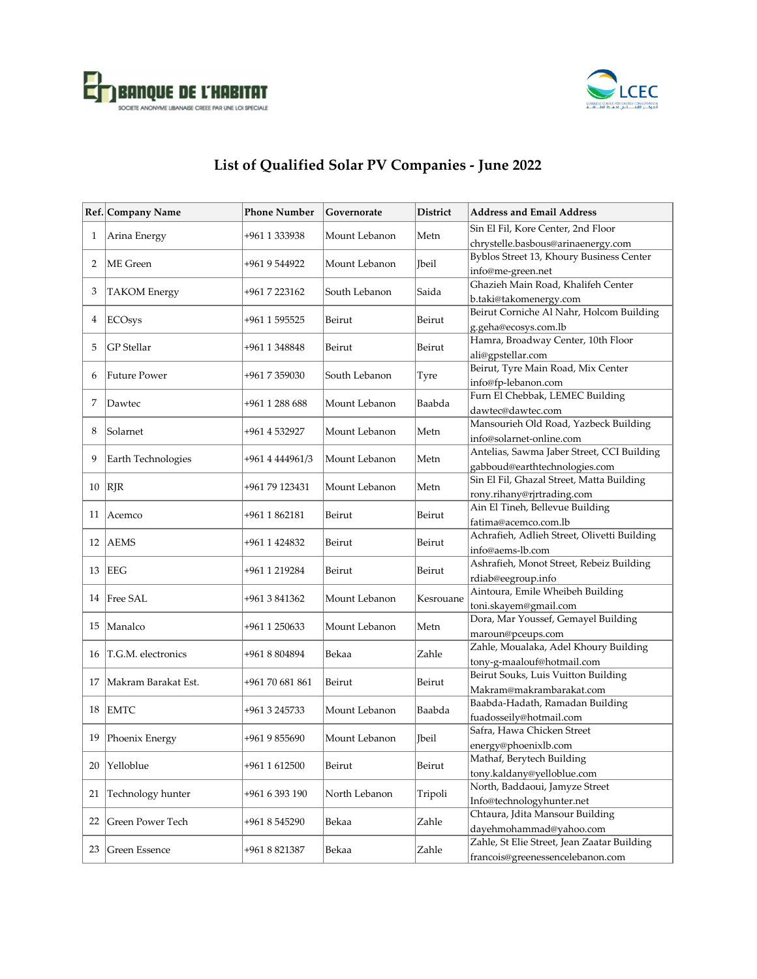



## **List of Qualified Solar PV Companies - June 2022**

|              | Ref. Company Name   | <b>Phone Number</b> | Governorate   | <b>District</b> | <b>Address and Email Address</b>                                           |
|--------------|---------------------|---------------------|---------------|-----------------|----------------------------------------------------------------------------|
| $\mathbf{1}$ | Arina Energy        | +961 1 333938       | Mount Lebanon | Metn            | Sin El Fil, Kore Center, 2nd Floor                                         |
|              |                     |                     |               |                 | chrystelle.basbous@arinaenergy.com                                         |
| 2            | ME Green            | +961 9 544922       | Mount Lebanon | <b>T</b> beil   | Byblos Street 13, Khoury Business Center                                   |
|              |                     |                     |               |                 | info@me-green.net                                                          |
| 3            | <b>TAKOM</b> Energy | +961 7 223162       | South Lebanon | Saida           | Ghazieh Main Road, Khalifeh Center                                         |
|              |                     |                     |               |                 | b.taki@takomenergy.com<br>Beirut Corniche Al Nahr, Holcom Building         |
| 4            | <b>ECOsys</b>       | +961 1 595525       | Beirut        | Beirut          | g.geha@ecosys.com.lb                                                       |
|              |                     |                     |               |                 | Hamra, Broadway Center, 10th Floor                                         |
| 5            | <b>GP</b> Stellar   | +961 1 348848       | Beirut        | Beirut          | ali@gpstellar.com                                                          |
|              |                     |                     |               |                 | Beirut, Tyre Main Road, Mix Center                                         |
| 6            | <b>Future Power</b> | +961 7 359030       | South Lebanon | Tyre            | info@fp-lebanon.com                                                        |
| 7            | Dawtec              | +961 1 288 688      | Mount Lebanon | Baabda          | Furn El Chebbak, LEMEC Building                                            |
|              |                     |                     |               |                 | dawtec@dawtec.com                                                          |
| 8            | Solarnet            | +961 4 532927       | Mount Lebanon | Metn            | Mansourieh Old Road, Yazbeck Building                                      |
|              |                     |                     |               |                 | info@solarnet-online.com                                                   |
| 9            | Earth Technologies  | +961 4 444961/3     | Mount Lebanon | Metn            | Antelias, Sawma Jaber Street, CCI Building                                 |
|              |                     |                     |               |                 | gabboud@earthtechnologies.com<br>Sin El Fil, Ghazal Street, Matta Building |
| 10           | <b>RJR</b>          | +961 79 123431      | Mount Lebanon | Metn            | rony.rihany@rjrtrading.com                                                 |
|              |                     |                     |               | Beirut          | Ain El Tineh, Bellevue Building                                            |
| 11           | Acemco              | +961 1 862181       | Beirut        |                 | fatima@acemco.com.lb                                                       |
|              |                     |                     |               | Beirut          | Achrafieh, Adlieh Street, Olivetti Building                                |
| 12           | <b>AEMS</b>         | +961 1 424832       | Beirut        |                 | info@aems-lb.com                                                           |
| 13           | <b>EEG</b>          |                     | Beirut        | Beirut          | Ashrafieh, Monot Street, Rebeiz Building                                   |
|              |                     | +961 1 219284       |               |                 | rdiab@eegroup.info                                                         |
|              | 14 Free SAL         | +961 3 841362       | Mount Lebanon | Kesrouane       | Aintoura, Emile Wheibeh Building                                           |
|              |                     |                     |               |                 | toni.skayem@gmail.com                                                      |
| 15           | Manalco             | +961 1 250633       | Mount Lebanon | Metn            | Dora, Mar Youssef, Gemayel Building                                        |
|              |                     |                     |               |                 | maroun@pceups.com                                                          |
| 16           | T.G.M. electronics  | +961 8 804894       | Bekaa         | Zahle           | Zahle, Moualaka, Adel Khoury Building                                      |
|              |                     |                     |               | Beirut          | tony-g-maalouf@hotmail.com<br>Beirut Souks, Luis Vuitton Building          |
| 17           | Makram Barakat Est. | +961 70 681 861     | Beirut        |                 | Makram@makrambarakat.com                                                   |
|              |                     |                     |               |                 | Baabda-Hadath, Ramadan Building                                            |
| 18           | <b>EMTC</b>         | +961 3 245733       | Mount Lebanon | Baabda          | fuadosseily@hotmail.com                                                    |
|              |                     |                     |               |                 | Safra, Hawa Chicken Street                                                 |
| 19           | Phoenix Energy      | +961 9 855690       | Mount Lebanon | <b>Ibeil</b>    | energy@phoenixlb.com                                                       |
|              | Yelloblue           | +961 1 612500       | Beirut        | Beirut          | Mathaf, Berytech Building                                                  |
| 20           |                     |                     |               |                 | tony.kaldany@yelloblue.com                                                 |
| 21           | Technology hunter   | +961 6 393 190      | North Lebanon | Tripoli         | North, Baddaoui, Jamyze Street                                             |
|              |                     |                     |               |                 | Info@technologyhunter.net                                                  |
| 22           | Green Power Tech    | +961 8 545290       | Bekaa         | Zahle           | Chtaura, Jdita Mansour Building                                            |
|              |                     |                     |               |                 | dayehmohammad@yahoo.com                                                    |
| 23           | Green Essence       | +961 8 821387       | Bekaa         | Zahle           | Zahle, St Elie Street, Jean Zaatar Building                                |
|              |                     |                     |               |                 | francois@greenessencelebanon.com                                           |